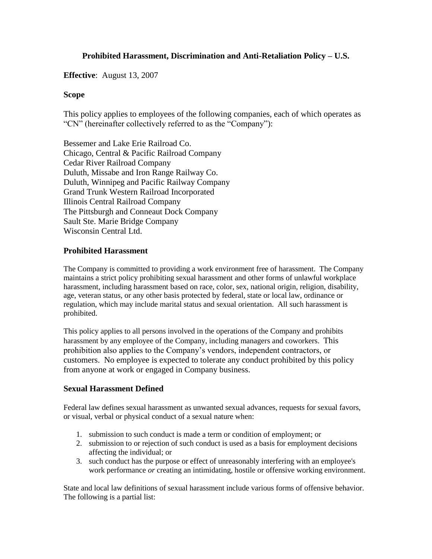# **Prohibited Harassment, Discrimination and Anti-Retaliation Policy – U.S.**

**Effective**: August 13, 2007

### **Scope**

This policy applies to employees of the following companies, each of which operates as "CN" (hereinafter collectively referred to as the "Company"):

Bessemer and Lake Erie Railroad Co. Chicago, Central & Pacific Railroad Company Cedar River Railroad Company Duluth, Missabe and Iron Range Railway Co. Duluth, Winnipeg and Pacific Railway Company Grand Trunk Western Railroad Incorporated Illinois Central Railroad Company The Pittsburgh and Conneaut Dock Company Sault Ste. Marie Bridge Company Wisconsin Central Ltd.

## **Prohibited Harassment**

The Company is committed to providing a work environment free of harassment. The Company maintains a strict policy prohibiting sexual harassment and other forms of unlawful workplace harassment, including harassment based on race, color, sex, national origin, religion, disability, age, veteran status, or any other basis protected by federal, state or local law, ordinance or regulation, which may include marital status and sexual orientation. All such harassment is prohibited.

This policy applies to all persons involved in the operations of the Company and prohibits harassment by any employee of the Company, including managers and coworkers. This prohibition also applies to the Company's vendors, independent contractors, or customers. No employee is expected to tolerate any conduct prohibited by this policy from anyone at work or engaged in Company business.

### **Sexual Harassment Defined**

Federal law defines sexual harassment as unwanted sexual advances, requests for sexual favors, or visual, verbal or physical conduct of a sexual nature when:

- 1. submission to such conduct is made a term or condition of employment; or
- 2. submission to or rejection of such conduct is used as a basis for employment decisions affecting the individual; or
- 3. such conduct has the purpose or effect of unreasonably interfering with an employee's work performance *or* creating an intimidating, hostile or offensive working environment.

State and local law definitions of sexual harassment include various forms of offensive behavior. The following is a partial list: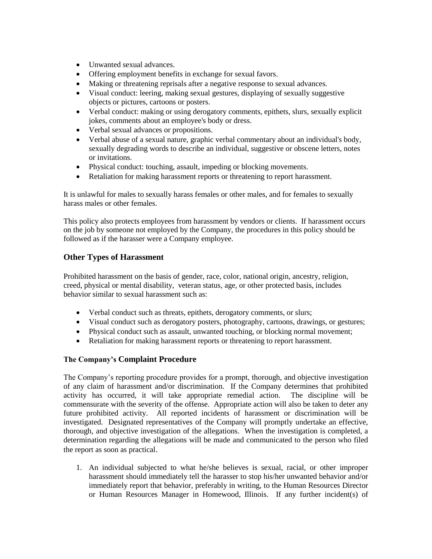- Unwanted sexual advances.
- Offering employment benefits in exchange for sexual favors.
- Making or threatening reprisals after a negative response to sexual advances.
- Visual conduct: leering, making sexual gestures, displaying of sexually suggestive objects or pictures, cartoons or posters.
- Verbal conduct: making or using derogatory comments, epithets, slurs, sexually explicit jokes, comments about an employee's body or dress.
- Verbal sexual advances or propositions.
- Verbal abuse of a sexual nature, graphic verbal commentary about an individual's body, sexually degrading words to describe an individual, suggestive or obscene letters, notes or invitations.
- Physical conduct: touching, assault, impeding or blocking movements.
- Retaliation for making harassment reports or threatening to report harassment.

It is unlawful for males to sexually harass females or other males, and for females to sexually harass males or other females.

This policy also protects employees from harassment by vendors or clients. If harassment occurs on the job by someone not employed by the Company, the procedures in this policy should be followed as if the harasser were a Company employee.

### **Other Types of Harassment**

Prohibited harassment on the basis of gender, race, color, national origin, ancestry, religion, creed, physical or mental disability, veteran status, age, or other protected basis, includes behavior similar to sexual harassment such as:

- Verbal conduct such as threats, epithets, derogatory comments, or slurs;
- Visual conduct such as derogatory posters, photography, cartoons, drawings, or gestures;
- Physical conduct such as assault, unwanted touching, or blocking normal movement;
- Retaliation for making harassment reports or threatening to report harassment.

### **The Company's Complaint Procedure**

The Company's reporting procedure provides for a prompt, thorough, and objective investigation of any claim of harassment and/or discrimination. If the Company determines that prohibited activity has occurred, it will take appropriate remedial action. The discipline will be commensurate with the severity of the offense. Appropriate action will also be taken to deter any future prohibited activity. All reported incidents of harassment or discrimination will be investigated. Designated representatives of the Company will promptly undertake an effective, thorough, and objective investigation of the allegations. When the investigation is completed, a determination regarding the allegations will be made and communicated to the person who filed the report as soon as practical.

1. An individual subjected to what he/she believes is sexual, racial, or other improper harassment should immediately tell the harasser to stop his/her unwanted behavior and/or immediately report that behavior, preferably in writing, to the Human Resources Director or Human Resources Manager in Homewood, Illinois. If any further incident(s) of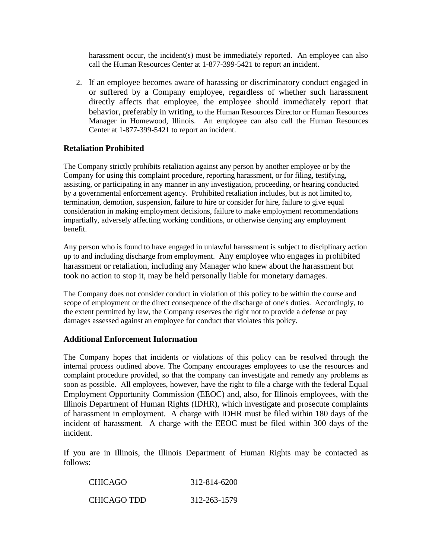harassment occur, the incident(s) must be immediately reported. An employee can also call the Human Resources Center at 1-877-399-5421 to report an incident.

2. If an employee becomes aware of harassing or discriminatory conduct engaged in or suffered by a Company employee, regardless of whether such harassment directly affects that employee, the employee should immediately report that behavior, preferably in writing, to the Human Resources Director or Human Resources Manager in Homewood, Illinois. An employee can also call the Human Resources Center at 1-877-399-5421 to report an incident.

## **Retaliation Prohibited**

The Company strictly prohibits retaliation against any person by another employee or by the Company for using this complaint procedure, reporting harassment, or for filing, testifying, assisting, or participating in any manner in any investigation, proceeding, or hearing conducted by a governmental enforcement agency. Prohibited retaliation includes, but is not limited to, termination, demotion, suspension, failure to hire or consider for hire, failure to give equal consideration in making employment decisions, failure to make employment recommendations impartially, adversely affecting working conditions, or otherwise denying any employment benefit.

Any person who is found to have engaged in unlawful harassment is subject to disciplinary action up to and including discharge from employment. Any employee who engages in prohibited harassment or retaliation, including any Manager who knew about the harassment but took no action to stop it, may be held personally liable for monetary damages.

The Company does not consider conduct in violation of this policy to be within the course and scope of employment or the direct consequence of the discharge of one's duties. Accordingly, to the extent permitted by law, the Company reserves the right not to provide a defense or pay damages assessed against an employee for conduct that violates this policy.

### **Additional Enforcement Information**

The Company hopes that incidents or violations of this policy can be resolved through the internal process outlined above. The Company encourages employees to use the resources and complaint procedure provided, so that the company can investigate and remedy any problems as soon as possible. All employees, however, have the right to file a charge with the federal Equal Employment Opportunity Commission (EEOC) and, also, for Illinois employees, with the Illinois Department of Human Rights (IDHR), which investigate and prosecute complaints of harassment in employment. A charge with IDHR must be filed within 180 days of the incident of harassment. A charge with the EEOC must be filed within 300 days of the incident.

If you are in Illinois, the Illinois Department of Human Rights may be contacted as follows:

| <b>CHICAGO</b> | 312-814-6200 |
|----------------|--------------|
| CHICAGO TDD    | 312-263-1579 |